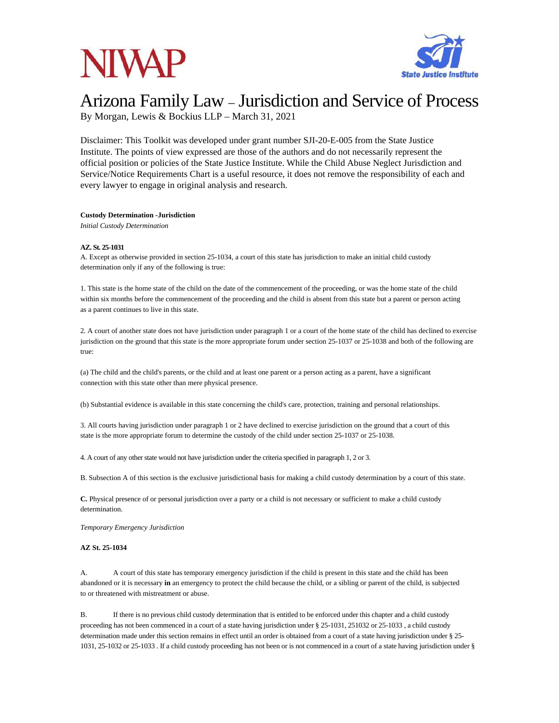# **NIVAP**



## Arizona Family Law – Jurisdiction and Service of Process By Morgan, Lewis & Bockius LLP – March 31, 2021

Disclaimer: This Toolkit was developed under grant number SJI-20-E-005 from the State Justice Institute. The points of view expressed are those of the authors and do not necessarily represent the official position or policies of the State Justice Institute. While the Child Abuse Neglect Jurisdiction and Service/Notice Requirements Chart is a useful resource, it does not remove the responsibility of each and every lawyer to engage in original analysis and research.

### **Custody Determination -Jurisdiction**

*Initial Custody Determination*

#### **AZ. St. 25-1031**

A. Except as otherwise provided in section 25-1034, a court of this state has jurisdiction to make an initial child custody determination only if any of the following is true:

1. This state is the home state of the child on the date of the commencement of the proceeding, or was the home state of the child within six months before the commencement of the proceeding and the child is absent from this state but a parent or person acting as a parent continues to live in this state.

2. A court of another state does not have jurisdiction under paragraph 1 or a court of the home state of the child has declined to exercise jurisdiction on the ground that this state is the more appropriate forum under section 25-1037 or 25-1038 and both of the following are true:

(a) The child and the child's parents, or the child and at least one parent or a person acting as a parent, have a significant connection with this state other than mere physical presence.

(b) Substantial evidence is available in this state concerning the child's care, protection, training and personal relationships.

3. All courts having jurisdiction under paragraph 1 or 2 have declined to exercise jurisdiction on the ground that a court of this state is the more appropriate forum to determine the custody of the child under section 25-1037 or 25-1038.

4. A court of any other state would not have jurisdiction under the criteria specified in paragraph 1, 2 or 3.

B. Subsection A of this section is the exclusive jurisdictional basis for making a child custody determination by a court of this state.

**C.** Physical presence of or personal jurisdiction over a party or a child is not necessary or sufficient to make a child custody determination.

*Temporary Emergency Jurisdiction*

#### **AZ St. 25-1034**

A. A court of this state has temporary emergency jurisdiction if the child is present in this state and the child has been abandoned or it is necessary **in** an emergency to protect the child because the child, or a sibling or parent of the child, is subjected to or threatened with mistreatment or abuse.

B. If there is no previous child custody determination that is entitled to be enforced under this chapter and a child custody proceeding has not been commenced in a court of a state having jurisdiction under § 25-1031, 251032 or 25-1033 , a child custody determination made under this section remains in effect until an order is obtained from a court of a state having jurisdiction under § 25- 1031, 25-1032 or 25-1033 . If a child custody proceeding has not been or is not commenced in a court of a state having jurisdiction under §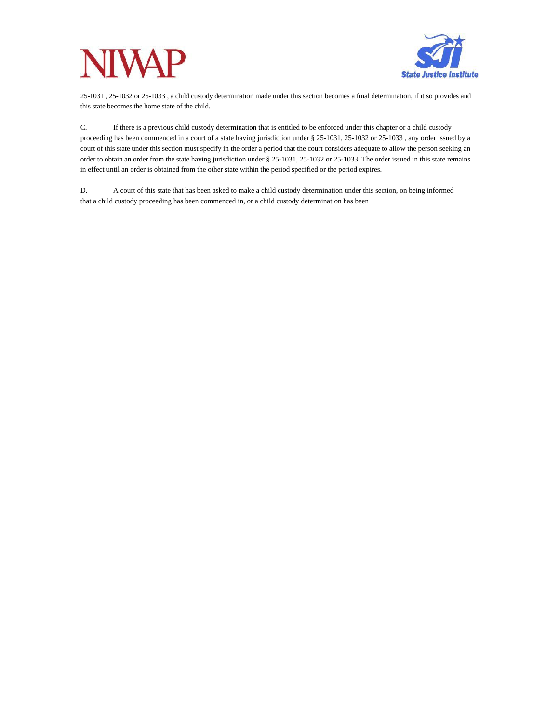



25-1031 , 25-1032 or 25-1033 , a child custody determination made under this section becomes a final determination, if it so provides and this state becomes the home state of the child.

C. If there is a previous child custody determination that is entitled to be enforced under this chapter or a child custody proceeding has been commenced in a court of a state having jurisdiction under § 25-1031, 25-1032 or 25-1033 , any order issued by a court of this state under this section must specify in the order a period that the court considers adequate to allow the person seeking an order to obtain an order from the state having jurisdiction under § 25-1031, 25-1032 or 25-1033. The order issued in this state remains in effect until an order is obtained from the other state within the period specified or the period expires.

D. A court of this state that has been asked to make a child custody determination under this section, on being informed that a child custody proceeding has been commenced in, or a child custody determination has been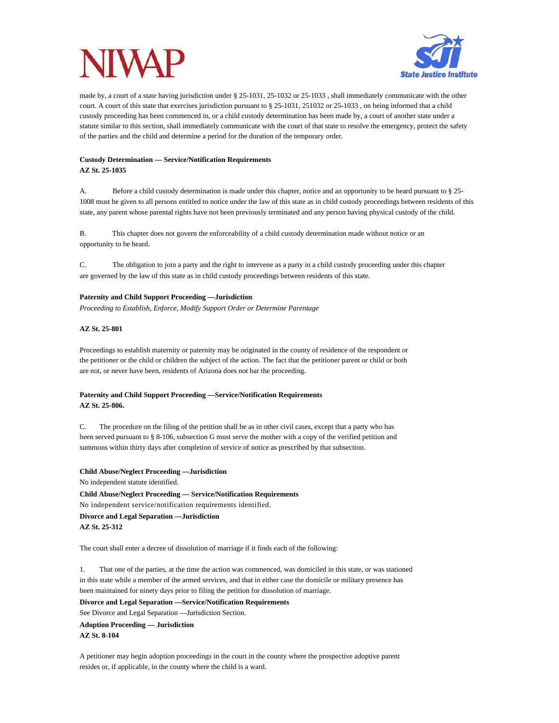

made by, a court of a state having jurisdiction under § 25-1031, 25-1032 or 25-1033 , shall immediately communicate with the other court. A court of this state that exercises jurisdiction pursuant to § 25-1031, 251032 or 25-1033 , on being informed that a child custody proceeding has been commenced in, or a child custody determination has been made by, a court of another state under a statute similar to this section, shall immediately communicate with the court of that state to resolve the emergency, protect the safety of the parties and the child and determine a period for the duration of the temporary order.

## **Custody Determination — Service/Notification Requirements AZ St. 25-1035**

A. Before a child custody determination is made under this chapter, notice and an opportunity to be heard pursuant to § 25- 1008 must be given to all persons entitled to notice under the law of this state as in child custody proceedings between residents of this state, any parent whose parental rights have not been previously terminated and any person having physical custody of the child.

B. This chapter does not govern the enforceability of a child custody determination made without notice or an opportunity to be heard.

C. The obligation to join a party and the right to intervene as a party in a child custody proceeding under this chapter are governed by the law of this state as in child custody proceedings between residents of this state.

#### **Paternity and Child Support Proceeding —Jurisdiction**

*Proceeding to Establish, Enforce, Modify Support Order or Determine Parentage*

#### **AZ St. 25-801**

Proceedings to establish maternity or paternity may be originated in the county of residence of the respondent or the petitioner or the child or children the subject of the action. The fact that the petitioner parent or child or both are not, or never have been, residents of Arizona does not bar the proceeding.

#### **Paternity and Child Support Proceeding —Service/Notification Requirements AZ St. 25-806.**

C. The procedure on the filing of the petition shall be as in other civil cases, except that a party who has been served pursuant to § 8-106, subsection G must serve the mother with a copy of the verified petition and summons within thirty days after completion of service of notice as prescribed by that subsection.

**Child Abuse/Neglect Proceeding —Jurisdiction** No independent statute identified. **Child Abuse/Neglect Proceeding — Service/Notification Requirements** No independent service/notification requirements identified. **Divorce and Legal Separation —Jurisdiction AZ St. 25-312**

The court shall enter a decree of dissolution of marriage if it finds each of the following:

1. That one of the parties, at the time the action was commenced, was domiciled in this state, or was stationed in this state while a member of the armed services, and that in either case the domicile or military presence has been maintained for ninety days prior to filing the petition for dissolution of marriage. **Divorce and Legal Separation —Service/Notification Requirements** See Divorce and Legal Separation —Jurisdiction Section. **Adoption Proceeding — Jurisdiction AZ St. 8-104**

A petitioner may begin adoption proceedings in the court in the county where the prospective adoptive parent resides or, if applicable, in the county where the child is a ward.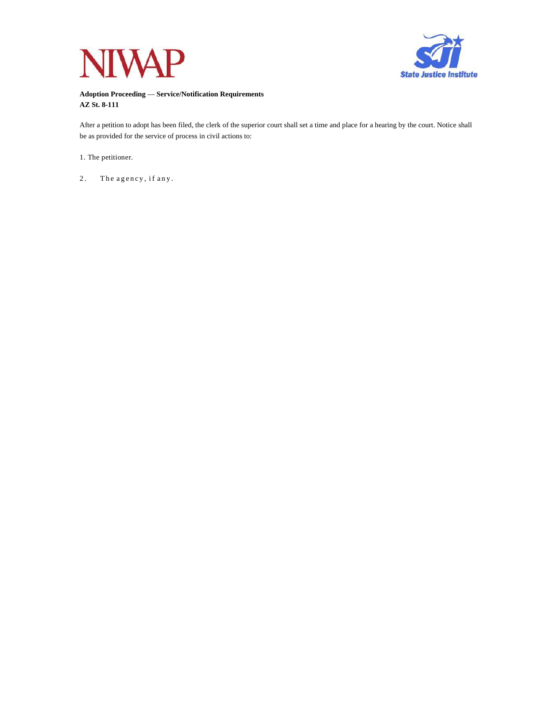



**Adoption Proceeding** — **Service/Notification Requirements AZ St. 8-111**

After a petition to adopt has been filed, the clerk of the superior court shall set a time and place for a hearing by the court. Notice shall be as provided for the service of process in civil actions to:

1. The petitioner.

2. The agency, if any.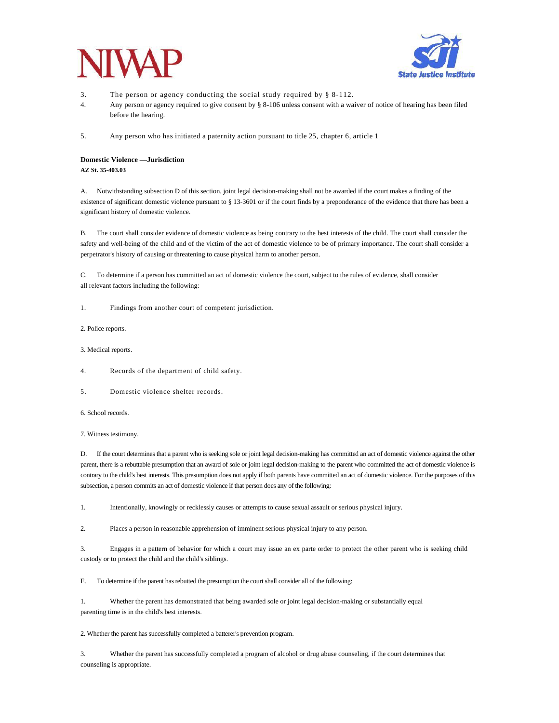



- 3. The person or agency conducting the social study required by § 8-112.
- 4. Any person or agency required to give consent by § 8-106 unless consent with a waiver of notice of hearing has been filed before the hearing.
- 5. Any person who has initiated a paternity action pursuant to title 25, chapter 6, article 1

#### **Domestic Violence —Jurisdiction AZ St. 35-403.03**

A. Notwithstanding subsection D of this section, joint legal decision-making shall not be awarded if the court makes a finding of the existence of significant domestic violence pursuant to § 13-3601 or if the court finds by a preponderance of the evidence that there has been a significant history of domestic violence.

B. The court shall consider evidence of domestic violence as being contrary to the best interests of the child. The court shall consider the safety and well-being of the child and of the victim of the act of domestic violence to be of primary importance. The court shall consider a perpetrator's history of causing or threatening to cause physical harm to another person.

C. To determine if a person has committed an act of domestic violence the court, subject to the rules of evidence, shall consider all relevant factors including the following:

1. Findings from another court of competent jurisdiction.

2. Police reports.

3. Medical reports.

- 4. Records of the department of child safety.
- 5. Domestic violence shelter records.

6. School records.

7. Witness testimony.

D. If the court determines that a parent who is seeking sole or joint legal decision-making has committed an act of domestic violence against the other parent, there is a rebuttable presumption that an award of sole or joint legal decision-making to the parent who committed the act of domestic violence is contrary to the child's best interests. This presumption does not apply if both parents have committed an act of domestic violence. For the purposes of this subsection, a person commits an act of domestic violence if that person does any of the following:

1. Intentionally, knowingly or recklessly causes or attempts to cause sexual assault or serious physical injury.

2. Places a person in reasonable apprehension of imminent serious physical injury to any person.

3. Engages in a pattern of behavior for which a court may issue an ex parte order to protect the other parent who is seeking child custody or to protect the child and the child's siblings.

E. To determine if the parent hasrebutted the presumption the courtshall consider all of the following:

1. Whether the parent has demonstrated that being awarded sole or joint legal decision-making or substantially equal parenting time is in the child's best interests.

2. Whether the parent has successfully completed a batterer's prevention program.

3. Whether the parent has successfully completed a program of alcohol or drug abuse counseling, if the court determines that counseling is appropriate.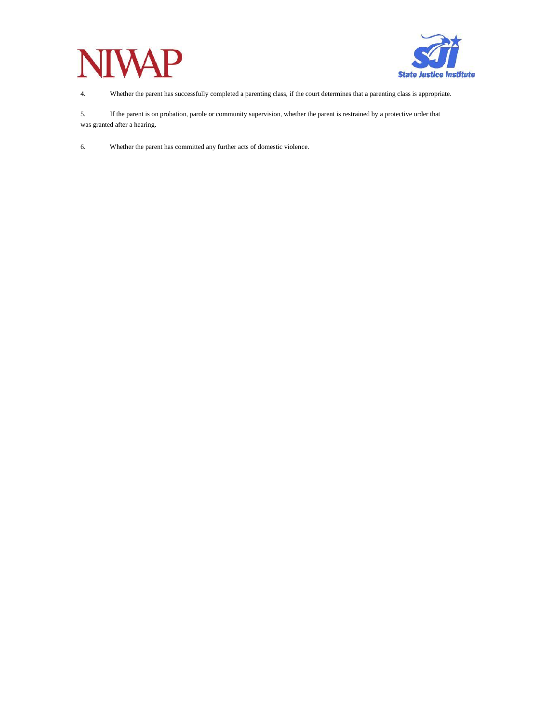



4. Whether the parent has successfully completed a parenting class, if the court determines that a parenting class is appropriate.

5. If the parent is on probation, parole or community supervision, whether the parent is restrained by a protective order that was granted after a hearing.

6. Whether the parent has committed any further acts of domestic violence.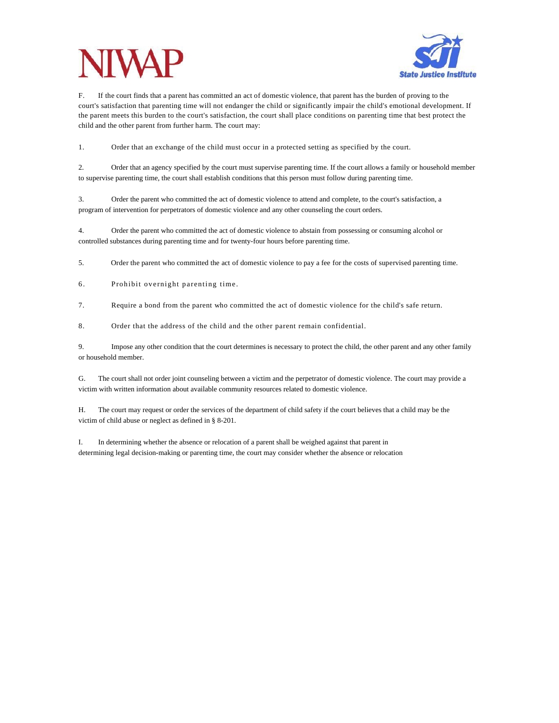

F. If the court finds that a parent has committed an act of domestic violence, that parent has the burden of proving to the court's satisfaction that parenting time will not endanger the child or significantly impair the child's emotional development. If the parent meets this burden to the court's satisfaction, the court shall place conditions on parenting time that best protect the child and the other parent from further harm. The court may:

1. Order that an exchange of the child must occur in a protected setting as specified by the court.

2. Order that an agency specified by the court must supervise parenting time. If the court allows a family or household member to supervise parenting time, the court shall establish conditions that this person must follow during parenting time.

3. Order the parent who committed the act of domestic violence to attend and complete, to the court's satisfaction, a program of intervention for perpetrators of domestic violence and any other counseling the court orders.

4. Order the parent who committed the act of domestic violence to abstain from possessing or consuming alcohol or controlled substances during parenting time and for twenty-four hours before parenting time.

5. Order the parent who committed the act of domestic violence to pay a fee for the costs of supervised parenting time.

6. Prohibit overnight parenting time.

7. Require a bond from the parent who committed the act of domestic violence for the child's safe return.

8. Order that the address of the child and the other parent remain confidential.

9. Impose any other condition that the court determines is necessary to protect the child, the other parent and any other family or household member.

G. The court shall not order joint counseling between a victim and the perpetrator of domestic violence. The court may provide a victim with written information about available community resources related to domestic violence.

H. The court may request or order the services of the department of child safety if the court believes that a child may be the victim of child abuse or neglect as defined in § 8-201.

I. In determining whether the absence or relocation of a parent shall be weighed against that parent in determining legal decision-making or parenting time, the court may consider whether the absence or relocation